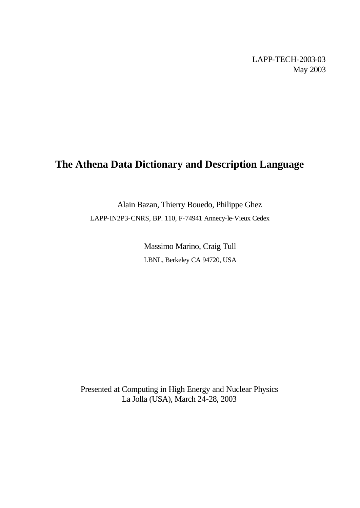LAPP-TECH-2003-03 May 2003

# **The Athena Data Dictionary and Description Language**

Alain Bazan, Thierry Bouedo, Philippe Ghez LAPP-IN2P3-CNRS, BP. 110, F-74941 Annecy-le-Vieux Cedex

> Massimo Marino, Craig Tull LBNL, Berkeley CA 94720, USA

Presented at Computing in High Energy and Nuclear Physics La Jolla (USA), March 24-28, 2003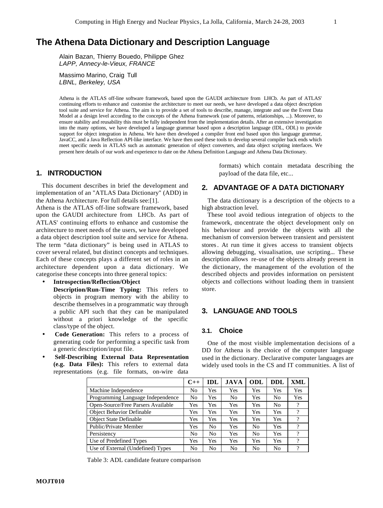## **The Athena Data Dictionary and Description Language**

Alain Bazan, Thierry Bouedo, Philippe Ghez *LAPP, Annecy-le-Vieux, FRANCE*

Massimo Marino, Craig Tull *LBNL, Berkeley, USA*

Athena is the ATLAS off-line software framework, based upon the GAUDI architecture from LHCb. As part of ATLAS' continuing efforts to enhance and customise the architecture to meet our needs, we have developed a data object description tool suite and service for Athena. The aim is to provide a set of tools to describe, manage, integrate and use the Event Data Model at a design level according to the concepts of the Athena framework (use of patterns, relationships, ...). Moreover, to ensure stability and reusability this must be fully independent from the implementation details. After an extensive investigation into the many options, we have developed a language grammar based upon a description language (IDL, ODL) to provide support for object integration in Athena. We have then developed a compiler front end based upon this language grammar, JavaCC, and a Java Reflection API-like interface. We have then used these tools to develop several compiler back ends which meet specific needs in ATLAS such as automatic generation of object converters, and data object scripting interfaces. We present here details of our work and experience to date on the Athena Definition Language and Athena Data Dictionary.

### **1. INTRODUCTION**

This document describes in brief the development and implementation of an "ATLAS Data Dictionary" (ADD) in the Athena Architecture. For full details see:[1].

Athena is the ATLAS off-line software framework, based upon the GAUDI architecture from LHCb. As part of ATLAS' continuing efforts to enhance and customise the architecture to meet needs of the users, we have developed a data object description tool suite and service for Athena. The term "data dictionary" is being used in ATLAS to cover several related, but distinct concepts and techniques. Each of these concepts plays a different set of roles in an architecture dependent upon a data dictionary. We categorise these concepts into three general topics:

• **Introspection/Reflection/Object**

**Description/Run-Time Typing:** This refers to objects in program memory with the ability to describe themselves in a programmatic way through a public API such that they can be manipulated without a priori knowledge of the specific class/type of the object.

- **Code Generation:** This refers to a process of generating code for performing a specific task from a generic description/input file.
- **Self-Describing External Data Representation (e.g. Data Files):** This refers to external data representations (e.g. file formats, on-wire data

formats) which contain metadata describing the payload of the data file, etc...

#### **2. ADVANTAGE OF A DATA DICTIONARY**

The data dictionary is a description of the objects to a high abstraction level.

These tool avoid tedious integration of objects to the framework, concentrate the object development only on his behaviour and provide the objects with all the mechanism of conversion between transient and persistent stores. At run time it gives access to transient objects allowing debugging, visualisation, use scripting... These description allows re-use of the objects already present in the dictionary, the management of the evolution of the described objects and provides information on persistent objects and collections without loading them in transient store.

#### **3. LANGUAGE AND TOOLS**

#### **3.1. Choice**

One of the most visible implementation decisions of a DD for Athena is the choice of the computer language used in the dictionary. Declarative computer languages are widely used tools in the CS and IT communities. A list of

|                                    | $C++$ | <b>IDL</b> | <b>JAVA</b>    | ODL            | <b>DDL</b> | XML |
|------------------------------------|-------|------------|----------------|----------------|------------|-----|
| Machine Independence               | No    | Yes        | Yes            | Yes            | Yes        | Yes |
| Programming Language Independence  | No    | Yes        | N <sub>0</sub> | Yes            | No         | Yes |
| Open-Source/Free Parsers Available | Yes   | Yes        | Yes            | Yes            | No         | 9   |
| <b>Object Behavior Definable</b>   | Yes   | Yes        | Yes            | Yes            | Yes        | ?   |
| <b>Object State Definable</b>      | Yes   | Yes        | Yes            | Yes            | Yes        | ?   |
| Public/Private Member              | Yes   | No         | Yes            | N <sub>0</sub> | Yes        | 9   |
| Persistency                        | No    | No         | Yes            | N <sub>0</sub> | Yes        | ?   |
| Use of Predefined Types            | Yes   | Yes        | Yes            | Yes            | Yes        | 9   |
| Use of External (Undefined) Types  | No    | No         | N <sub>0</sub> | No             | No         | 9   |

Table 3: ADL candidate feature comparison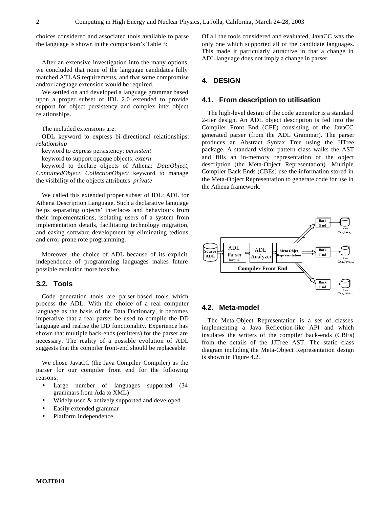choices considered and associated tools available to parse the language is shown in the comparison's Table 3:

After an extensive investigation into the many options, we concluded that none of the language candidates fully matched ATLAS requirements, and that some compromise and/or language extension would be required.

We settled on and developed a language grammar based upon a proper subset of IDL 2.0 extended to provide support for object persistency and complex inter-object relationships.

The included extensions are:

ODL keyword to express bi-directional relationships: *relationship*

keyword to express persistency: *persistent*

keyword to support opaque objects: *extern*

keyword to declare objects of Athena: *DataObject, ContainedObject, CollectionObject* keyword to manage the visibility of the objects attributes: *private*

We called this extended proper subset of IDL: ADL for Athena Description Language. Such a declarative language helps separating objects' interfaces and behaviours from their implementations, isolating users of a system from implementation details, facilitating technology migration, and easing software development by eliminating tedious and error-prone rote programming.

Moreover, the choice of ADL because of its explicit independence of programming languages makes future possible evolution more feasible.

## **3.2. Tools**

Code generation tools are parser-based tools which process the ADL. With the choice of a real computer language as the basis of the Data Dictionary, it becomes imperative that a real parser be used to compile the DD language and realise the DD functionality. Experience has shown that multiple back-ends (emitters) for the parser are necessary. The reality of a possible evolution of ADL suggests that the compiler front-end should be replaceable.

We chose JavaCC (the Java Compiler Compiler) as the parser for our compiler front end for the following reasons:

- Large number of languages supported (34 grammars from Ada to XML)
- Widely used  $&$  actively supported and developed
- Easily extended grammar
- Platform independence

Of all the tools considered and evaluated, JavaCC was the only one which supported all of the candidate languages. This made it particularly attractive in that a change in ADL language does not imply a change in parser.

## **4. DESIGN**

#### **4.1. From description to utilisation**

The high-level design of the code generator is a standard 2-tier design. An ADL object description is fed into the Compiler Front End (CFE) consisting of the JavaCC generated parser (from the ADL Grammar). The parser produces an Abstract Syntax Tree using the JJTree package. A standard visitor pattern class walks the AST and fills an in-memory representation of the object description (the Meta-Object Representation). Multiple Compiler Back Ends (CBEs) use the information stored in the Meta-Object Representation to generate code for use in the Athena framework.



#### **4.2. Meta-model**

The Meta-Object Representation is a set of classes implementing a Java Reflection-like API and which insulates the writers of the compiler back-ends (CBEs) from the details of the JJTree AST. The static class diagram including the Meta-Object Representation design is shown in Figure 4.2.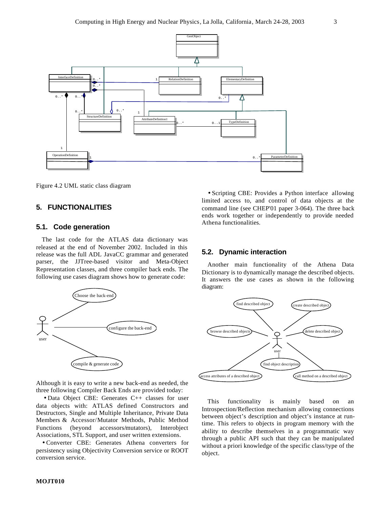

Figure 4.2 UML static class diagram

## **5. FUNCTIONALITIES**

#### **5.1. Code generation**

The last code for the ATLAS data dictionary was released at the end of November 2002. Included in this release was the full ADL JavaCC grammar and generated parser, the JJTree-based visitor and Meta-Object Representation classes, and three compiler back ends. The following use cases diagram shows how to generate code:



Although it is easy to write a new back-end as needed, the three following Compiler Back Ends are provided today:

• Data Object CBE: Generates C++ classes for user data objects with: ATLAS defined Constructors and Destructors, Single and Multiple Inheritance, Private Data Members & Accessor/Mutator Methods, Public Method Functions (beyond accessors/mutators), Interobject Associations, STL Support, and user written extensions.

• Converter CBE: Generates Athena converters for persistency using Objectivity Conversion service or ROOT conversion service.

• Scripting CBE: Provides a Python interface allowing limited access to, and control of data objects at the command line (see CHEP'01 paper 3-064). The three back ends work together or independently to provide needed Athena functionalities.

#### **5.2. Dynamic interaction**

Another main functionality of the Athena Data Dictionary is to dynamically manage the described objects. It answers the use cases as shown in the following diagram:



This functionality is mainly based on an Introspection/Reflection mechanism allowing connections between object's description and object's instance at runtime. This refers to objects in program memory with the ability to describe themselves in a programmatic way through a public API such that they can be manipulated without a priori knowledge of the specific class/type of the object.